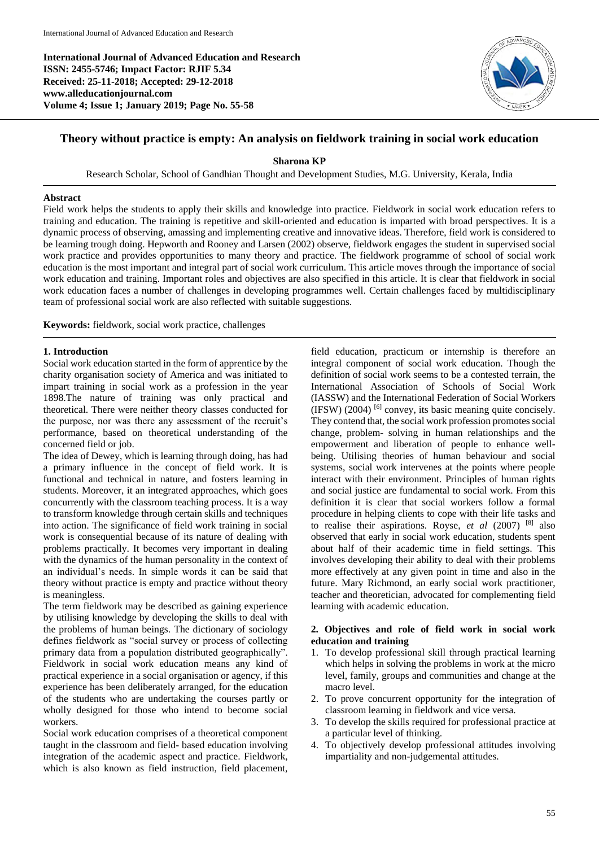**International Journal of Advanced Education and Research ISSN: 2455-5746; Impact Factor: RJIF 5.34 Received: 25-11-2018; Accepted: 29-12-2018 www.alleducationjournal.com Volume 4; Issue 1; January 2019; Page No. 55-58**



# **Theory without practice is empty: An analysis on fieldwork training in social work education**

**Sharona KP**

Research Scholar, School of Gandhian Thought and Development Studies, M.G. University, Kerala, India

### **Abstract**

Field work helps the students to apply their skills and knowledge into practice. Fieldwork in social work education refers to training and education. The training is repetitive and skill-oriented and education is imparted with broad perspectives. It is a dynamic process of observing, amassing and implementing creative and innovative ideas. Therefore, field work is considered to be learning trough doing. Hepworth and Rooney and Larsen (2002) observe, fieldwork engages the student in supervised social work practice and provides opportunities to many theory and practice. The fieldwork programme of school of social work education is the most important and integral part of social work curriculum. This article moves through the importance of social work education and training. Important roles and objectives are also specified in this article. It is clear that fieldwork in social work education faces a number of challenges in developing programmes well. Certain challenges faced by multidisciplinary team of professional social work are also reflected with suitable suggestions.

**Keywords:** fieldwork, social work practice, challenges

### **1. Introduction**

Social work education started in the form of apprentice by the charity organisation society of America and was initiated to impart training in social work as a profession in the year 1898.The nature of training was only practical and theoretical. There were neither theory classes conducted for the purpose, nor was there any assessment of the recruit's performance, based on theoretical understanding of the concerned field or job.

The idea of Dewey, which is learning through doing, has had a primary influence in the concept of field work. It is functional and technical in nature, and fosters learning in students. Moreover, it an integrated approaches, which goes concurrently with the classroom teaching process. It is a way to transform knowledge through certain skills and techniques into action. The significance of field work training in social work is consequential because of its nature of dealing with problems practically. It becomes very important in dealing with the dynamics of the human personality in the context of an individual's needs. In simple words it can be said that theory without practice is empty and practice without theory is meaningless.

The term fieldwork may be described as gaining experience by utilising knowledge by developing the skills to deal with the problems of human beings. The dictionary of sociology defines fieldwork as "social survey or process of collecting primary data from a population distributed geographically". Fieldwork in social work education means any kind of practical experience in a social organisation or agency, if this experience has been deliberately arranged, for the education of the students who are undertaking the courses partly or wholly designed for those who intend to become social workers.

Social work education comprises of a theoretical component taught in the classroom and field- based education involving integration of the academic aspect and practice. Fieldwork, which is also known as field instruction, field placement,

field education, practicum or internship is therefore an integral component of social work education. Though the definition of social work seems to be a contested terrain, the International Association of Schools of Social Work (IASSW) and the International Federation of Social Workers  $(IFSW)$  (2004) <sup>[6]</sup> convey, its basic meaning quite concisely. They contend that, the social work profession promotes social change, problem- solving in human relationships and the empowerment and liberation of people to enhance wellbeing. Utilising theories of human behaviour and social systems, social work intervenes at the points where people interact with their environment. Principles of human rights and social justice are fundamental to social work. From this definition it is clear that social workers follow a formal procedure in helping clients to cope with their life tasks and to realise their aspirations. Royse, *et al* (2007) [8] also observed that early in social work education, students spent about half of their academic time in field settings. This involves developing their ability to deal with their problems more effectively at any given point in time and also in the future. Mary Richmond, an early social work practitioner, teacher and theoretician, advocated for complementing field learning with academic education.

### **2. Objectives and role of field work in social work education and training**

- 1. To develop professional skill through practical learning which helps in solving the problems in work at the micro level, family, groups and communities and change at the macro level.
- 2. To prove concurrent opportunity for the integration of classroom learning in fieldwork and vice versa.
- 3. To develop the skills required for professional practice at a particular level of thinking.
- 4. To objectively develop professional attitudes involving impartiality and non-judgemental attitudes.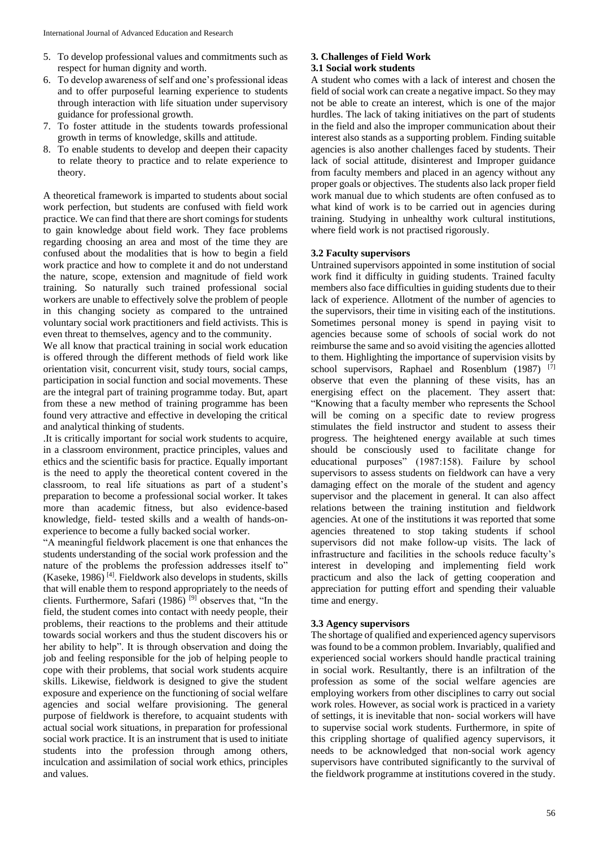- 5. To develop professional values and commitments such as respect for human dignity and worth.
- 6. To develop awareness of self and one's professional ideas and to offer purposeful learning experience to students through interaction with life situation under supervisory guidance for professional growth.
- 7. To foster attitude in the students towards professional growth in terms of knowledge, skills and attitude.
- 8. To enable students to develop and deepen their capacity to relate theory to practice and to relate experience to theory.

A theoretical framework is imparted to students about social work perfection, but students are confused with field work practice. We can find that there are short comings for students to gain knowledge about field work. They face problems regarding choosing an area and most of the time they are confused about the modalities that is how to begin a field work practice and how to complete it and do not understand the nature, scope, extension and magnitude of field work training. So naturally such trained professional social workers are unable to effectively solve the problem of people in this changing society as compared to the untrained voluntary social work practitioners and field activists. This is even threat to themselves, agency and to the community.

We all know that practical training in social work education is offered through the different methods of field work like orientation visit, concurrent visit, study tours, social camps, participation in social function and social movements. These are the integral part of training programme today. But, apart from these a new method of training programme has been found very attractive and effective in developing the critical and analytical thinking of students.

.It is critically important for social work students to acquire, in a classroom environment, practice principles, values and ethics and the scientific basis for practice. Equally important is the need to apply the theoretical content covered in the classroom, to real life situations as part of a student's preparation to become a professional social worker. It takes more than academic fitness, but also evidence-based knowledge, field- tested skills and a wealth of hands-onexperience to become a fully backed social worker.

"A meaningful fieldwork placement is one that enhances the students understanding of the social work profession and the nature of the problems the profession addresses itself to" (Kaseke, 1986) [4] . Fieldwork also develops in students, skills that will enable them to respond appropriately to the needs of clients. Furthermore, Safari (1986)<sup>[9]</sup> observes that, "In the field, the student comes into contact with needy people, their problems, their reactions to the problems and their attitude towards social workers and thus the student discovers his or her ability to help". It is through observation and doing the job and feeling responsible for the job of helping people to cope with their problems, that social work students acquire skills. Likewise, fieldwork is designed to give the student exposure and experience on the functioning of social welfare agencies and social welfare provisioning. The general purpose of fieldwork is therefore, to acquaint students with actual social work situations, in preparation for professional social work practice. It is an instrument that is used to initiate students into the profession through among others, inculcation and assimilation of social work ethics, principles and values.

#### **3. Challenges of Field Work 3.1 Social work students**

A student who comes with a lack of interest and chosen the field of social work can create a negative impact. So they may not be able to create an interest, which is one of the major hurdles. The lack of taking initiatives on the part of students in the field and also the improper communication about their interest also stands as a supporting problem. Finding suitable agencies is also another challenges faced by students. Their lack of social attitude, disinterest and Improper guidance from faculty members and placed in an agency without any proper goals or objectives. The students also lack proper field work manual due to which students are often confused as to what kind of work is to be carried out in agencies during training. Studying in unhealthy work cultural institutions, where field work is not practised rigorously.

# **3.2 Faculty supervisors**

Untrained supervisors appointed in some institution of social work find it difficulty in guiding students. Trained faculty members also face difficulties in guiding students due to their lack of experience. Allotment of the number of agencies to the supervisors, their time in visiting each of the institutions. Sometimes personal money is spend in paying visit to agencies because some of schools of social work do not reimburse the same and so avoid visiting the agencies allotted to them. Highlighting the importance of supervision visits by school supervisors, Raphael and Rosenblum (1987) [7] observe that even the planning of these visits, has an energising effect on the placement. They assert that: "Knowing that a faculty member who represents the School will be coming on a specific date to review progress stimulates the field instructor and student to assess their progress. The heightened energy available at such times should be consciously used to facilitate change for educational purposes" (1987:158). Failure by school supervisors to assess students on fieldwork can have a very damaging effect on the morale of the student and agency supervisor and the placement in general. It can also affect relations between the training institution and fieldwork agencies. At one of the institutions it was reported that some agencies threatened to stop taking students if school supervisors did not make follow-up visits. The lack of infrastructure and facilities in the schools reduce faculty's interest in developing and implementing field work practicum and also the lack of getting cooperation and appreciation for putting effort and spending their valuable time and energy.

# **3.3 Agency supervisors**

The shortage of qualified and experienced agency supervisors was found to be a common problem. Invariably, qualified and experienced social workers should handle practical training in social work. Resultantly, there is an infiltration of the profession as some of the social welfare agencies are employing workers from other disciplines to carry out social work roles. However, as social work is practiced in a variety of settings, it is inevitable that non- social workers will have to supervise social work students. Furthermore, in spite of this crippling shortage of qualified agency supervisors, it needs to be acknowledged that non-social work agency supervisors have contributed significantly to the survival of the fieldwork programme at institutions covered in the study.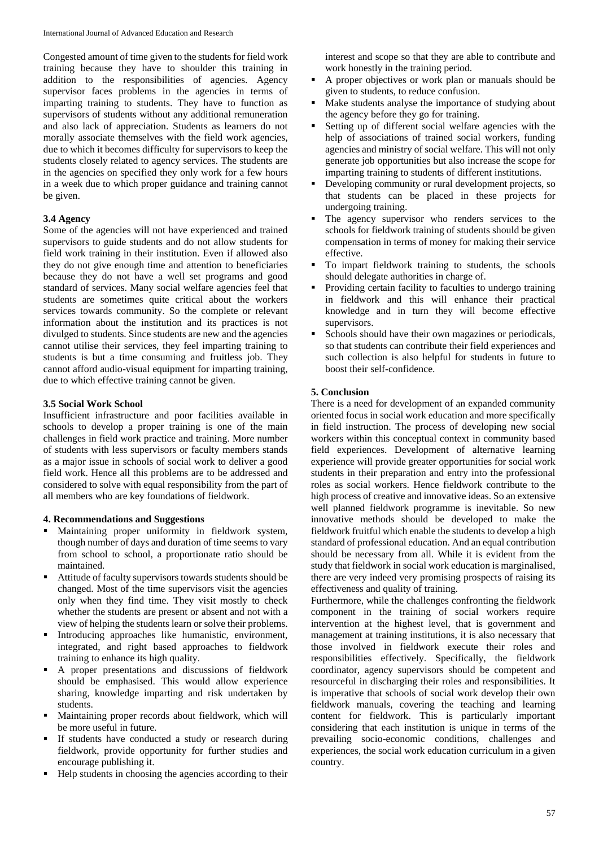Congested amount of time given to the students for field work training because they have to shoulder this training in addition to the responsibilities of agencies. Agency supervisor faces problems in the agencies in terms of imparting training to students. They have to function as supervisors of students without any additional remuneration and also lack of appreciation. Students as learners do not morally associate themselves with the field work agencies, due to which it becomes difficulty for supervisors to keep the students closely related to agency services. The students are in the agencies on specified they only work for a few hours in a week due to which proper guidance and training cannot be given.

# **3.4 Agency**

Some of the agencies will not have experienced and trained supervisors to guide students and do not allow students for field work training in their institution. Even if allowed also they do not give enough time and attention to beneficiaries because they do not have a well set programs and good standard of services. Many social welfare agencies feel that students are sometimes quite critical about the workers services towards community. So the complete or relevant information about the institution and its practices is not divulged to students. Since students are new and the agencies cannot utilise their services, they feel imparting training to students is but a time consuming and fruitless job. They cannot afford audio-visual equipment for imparting training, due to which effective training cannot be given.

### **3.5 Social Work School**

Insufficient infrastructure and poor facilities available in schools to develop a proper training is one of the main challenges in field work practice and training. More number of students with less supervisors or faculty members stands as a major issue in schools of social work to deliver a good field work. Hence all this problems are to be addressed and considered to solve with equal responsibility from the part of all members who are key foundations of fieldwork.

#### **4. Recommendations and Suggestions**

- Maintaining proper uniformity in fieldwork system, though number of days and duration of time seems to vary from school to school, a proportionate ratio should be maintained.
- Attitude of faculty supervisors towards students should be changed. Most of the time supervisors visit the agencies only when they find time. They visit mostly to check whether the students are present or absent and not with a view of helping the students learn or solve their problems.
- Introducing approaches like humanistic, environment, integrated, and right based approaches to fieldwork training to enhance its high quality.
- A proper presentations and discussions of fieldwork should be emphasised. This would allow experience sharing, knowledge imparting and risk undertaken by students.
- Maintaining proper records about fieldwork, which will be more useful in future.
- If students have conducted a study or research during fieldwork, provide opportunity for further studies and encourage publishing it.
- Help students in choosing the agencies according to their

interest and scope so that they are able to contribute and work honestly in the training period.

- A proper objectives or work plan or manuals should be given to students, to reduce confusion.
- Make students analyse the importance of studying about the agency before they go for training.
- Setting up of different social welfare agencies with the help of associations of trained social workers, funding agencies and ministry of social welfare. This will not only generate job opportunities but also increase the scope for imparting training to students of different institutions.
- Developing community or rural development projects, so that students can be placed in these projects for undergoing training.
- The agency supervisor who renders services to the schools for fieldwork training of students should be given compensation in terms of money for making their service effective.
- To impart fieldwork training to students, the schools should delegate authorities in charge of.
- Providing certain facility to faculties to undergo training in fieldwork and this will enhance their practical knowledge and in turn they will become effective supervisors.
- Schools should have their own magazines or periodicals, so that students can contribute their field experiences and such collection is also helpful for students in future to boost their self-confidence.

# **5. Conclusion**

There is a need for development of an expanded community oriented focus in social work education and more specifically in field instruction. The process of developing new social workers within this conceptual context in community based field experiences. Development of alternative learning experience will provide greater opportunities for social work students in their preparation and entry into the professional roles as social workers. Hence fieldwork contribute to the high process of creative and innovative ideas. So an extensive well planned fieldwork programme is inevitable. So new innovative methods should be developed to make the fieldwork fruitful which enable the students to develop a high standard of professional education. And an equal contribution should be necessary from all. While it is evident from the study that fieldwork in social work education is marginalised, there are very indeed very promising prospects of raising its effectiveness and quality of training.

Furthermore, while the challenges confronting the fieldwork component in the training of social workers require intervention at the highest level, that is government and management at training institutions, it is also necessary that those involved in fieldwork execute their roles and responsibilities effectively. Specifically, the fieldwork coordinator, agency supervisors should be competent and resourceful in discharging their roles and responsibilities. It is imperative that schools of social work develop their own fieldwork manuals, covering the teaching and learning content for fieldwork. This is particularly important considering that each institution is unique in terms of the prevailing socio-economic conditions, challenges and experiences, the social work education curriculum in a given country.